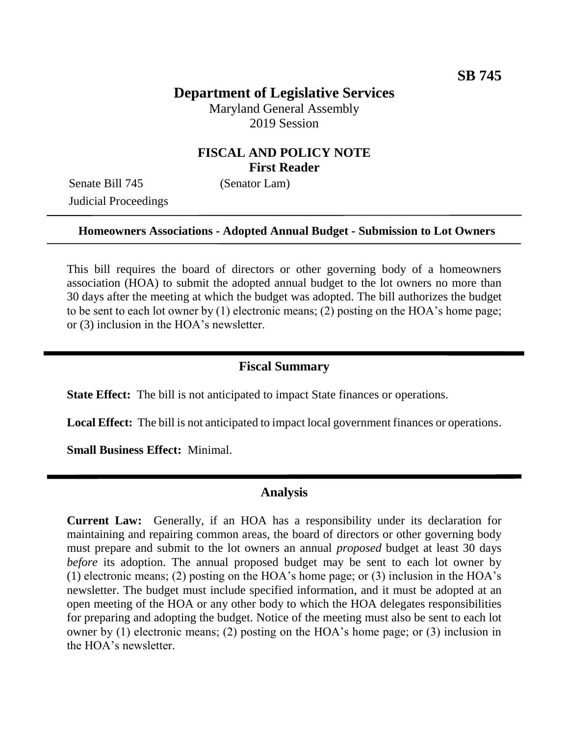# **Department of Legislative Services**

Maryland General Assembly 2019 Session

## **FISCAL AND POLICY NOTE First Reader**

Senate Bill 745 (Senator Lam) Judicial Proceedings

#### **Homeowners Associations - Adopted Annual Budget - Submission to Lot Owners**

This bill requires the board of directors or other governing body of a homeowners association (HOA) to submit the adopted annual budget to the lot owners no more than 30 days after the meeting at which the budget was adopted. The bill authorizes the budget to be sent to each lot owner by (1) electronic means; (2) posting on the HOA's home page; or (3) inclusion in the HOA's newsletter.

#### **Fiscal Summary**

**State Effect:** The bill is not anticipated to impact State finances or operations.

**Local Effect:** The bill is not anticipated to impact local government finances or operations.

**Small Business Effect:** Minimal.

#### **Analysis**

**Current Law:** Generally, if an HOA has a responsibility under its declaration for maintaining and repairing common areas, the board of directors or other governing body must prepare and submit to the lot owners an annual *proposed* budget at least 30 days *before* its adoption. The annual proposed budget may be sent to each lot owner by (1) electronic means; (2) posting on the HOA's home page; or (3) inclusion in the HOA's newsletter. The budget must include specified information, and it must be adopted at an open meeting of the HOA or any other body to which the HOA delegates responsibilities for preparing and adopting the budget. Notice of the meeting must also be sent to each lot owner by (1) electronic means; (2) posting on the HOA's home page; or (3) inclusion in the HOA's newsletter.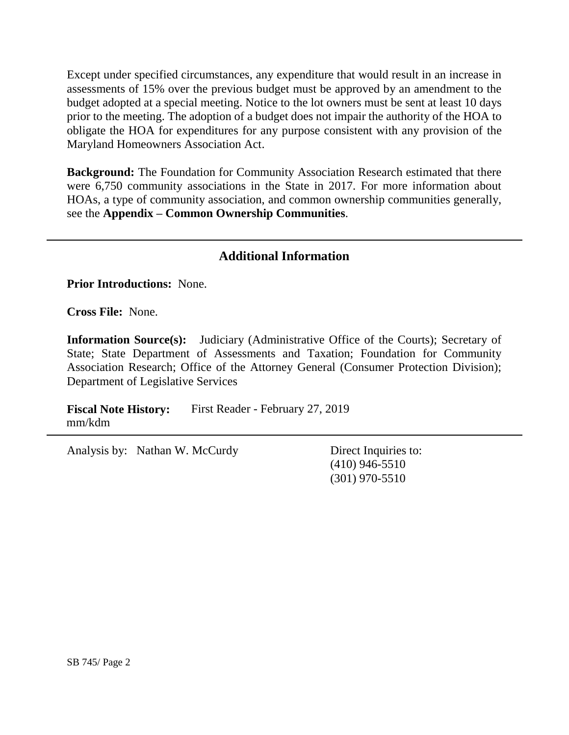Except under specified circumstances, any expenditure that would result in an increase in assessments of 15% over the previous budget must be approved by an amendment to the budget adopted at a special meeting. Notice to the lot owners must be sent at least 10 days prior to the meeting. The adoption of a budget does not impair the authority of the HOA to obligate the HOA for expenditures for any purpose consistent with any provision of the Maryland Homeowners Association Act.

**Background:** The Foundation for Community Association Research estimated that there were 6,750 community associations in the State in 2017. For more information about HOAs, a type of community association, and common ownership communities generally, see the **Appendix – Common Ownership Communities**.

### **Additional Information**

**Prior Introductions:** None.

**Cross File:** None.

**Information Source(s):** Judiciary (Administrative Office of the Courts); Secretary of State; State Department of Assessments and Taxation; Foundation for Community Association Research; Office of the Attorney General (Consumer Protection Division); Department of Legislative Services

**Fiscal Note History:** First Reader - February 27, 2019 mm/kdm

Analysis by: Nathan W. McCurdy Direct Inquiries to:

(410) 946-5510 (301) 970-5510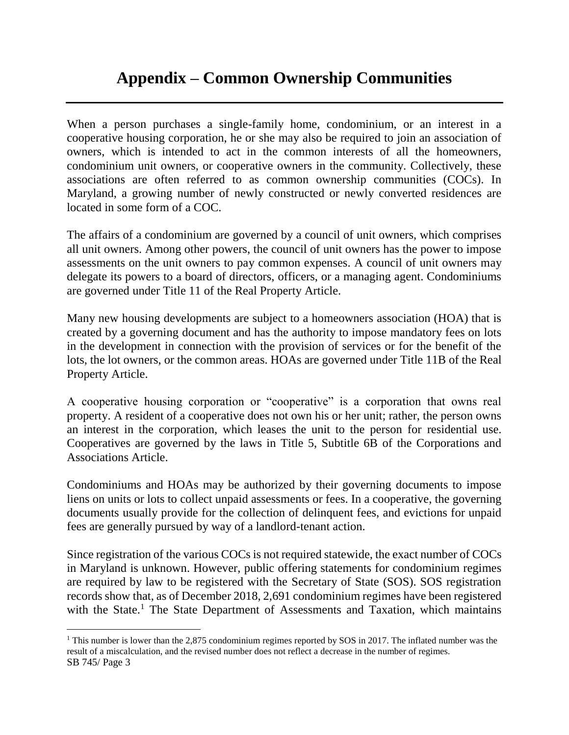# **Appendix – Common Ownership Communities**

When a person purchases a single-family home, condominium, or an interest in a cooperative housing corporation, he or she may also be required to join an association of owners, which is intended to act in the common interests of all the homeowners, condominium unit owners, or cooperative owners in the community. Collectively, these associations are often referred to as common ownership communities (COCs). In Maryland, a growing number of newly constructed or newly converted residences are located in some form of a COC.

The affairs of a condominium are governed by a council of unit owners, which comprises all unit owners. Among other powers, the council of unit owners has the power to impose assessments on the unit owners to pay common expenses. A council of unit owners may delegate its powers to a board of directors, officers, or a managing agent. Condominiums are governed under Title 11 of the Real Property Article.

Many new housing developments are subject to a homeowners association (HOA) that is created by a governing document and has the authority to impose mandatory fees on lots in the development in connection with the provision of services or for the benefit of the lots, the lot owners, or the common areas. HOAs are governed under Title 11B of the Real Property Article.

A cooperative housing corporation or "cooperative" is a corporation that owns real property. A resident of a cooperative does not own his or her unit; rather, the person owns an interest in the corporation, which leases the unit to the person for residential use. Cooperatives are governed by the laws in Title 5, Subtitle 6B of the Corporations and Associations Article.

Condominiums and HOAs may be authorized by their governing documents to impose liens on units or lots to collect unpaid assessments or fees. In a cooperative, the governing documents usually provide for the collection of delinquent fees, and evictions for unpaid fees are generally pursued by way of a landlord-tenant action.

Since registration of the various COCs is not required statewide, the exact number of COCs in Maryland is unknown. However, public offering statements for condominium regimes are required by law to be registered with the Secretary of State (SOS). SOS registration records show that, as of December 2018, 2,691 condominium regimes have been registered with the State.<sup>1</sup> The State Department of Assessments and Taxation, which maintains

SB 745/ Page 3 <sup>1</sup> This number is lower than the 2,875 condominium regimes reported by SOS in 2017. The inflated number was the result of a miscalculation, and the revised number does not reflect a decrease in the number of regimes.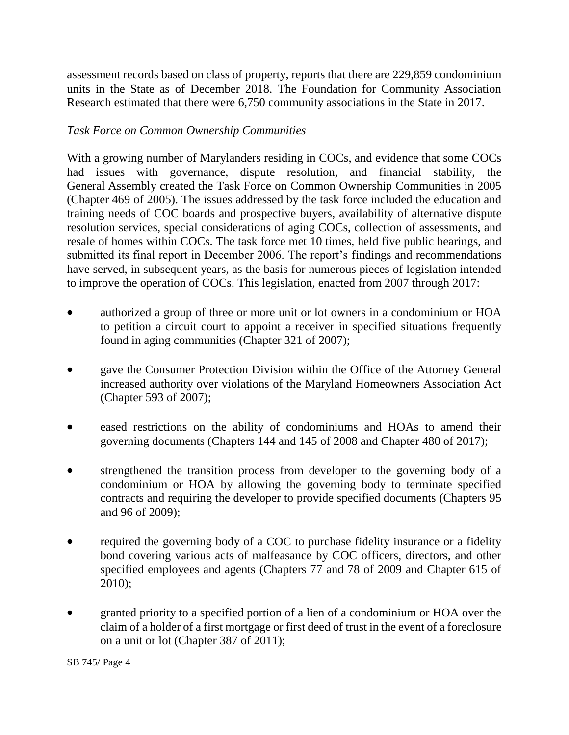assessment records based on class of property, reports that there are 229,859 condominium units in the State as of December 2018. The Foundation for Community Association Research estimated that there were 6,750 community associations in the State in 2017.

#### *Task Force on Common Ownership Communities*

With a growing number of Marylanders residing in COCs, and evidence that some COCs had issues with governance, dispute resolution, and financial stability, the General Assembly created the Task Force on Common Ownership Communities in 2005 (Chapter 469 of 2005). The issues addressed by the task force included the education and training needs of COC boards and prospective buyers, availability of alternative dispute resolution services, special considerations of aging COCs, collection of assessments, and resale of homes within COCs. The task force met 10 times, held five public hearings, and submitted its final report in December 2006. The report's findings and recommendations have served, in subsequent years, as the basis for numerous pieces of legislation intended to improve the operation of COCs. This legislation, enacted from 2007 through 2017:

- authorized a group of three or more unit or lot owners in a condominium or HOA to petition a circuit court to appoint a receiver in specified situations frequently found in aging communities (Chapter 321 of 2007);
- gave the Consumer Protection Division within the Office of the Attorney General increased authority over violations of the Maryland Homeowners Association Act (Chapter 593 of 2007);
- eased restrictions on the ability of condominiums and HOAs to amend their governing documents (Chapters 144 and 145 of 2008 and Chapter 480 of 2017);
- strengthened the transition process from developer to the governing body of a condominium or HOA by allowing the governing body to terminate specified contracts and requiring the developer to provide specified documents (Chapters 95 and 96 of 2009);
- required the governing body of a COC to purchase fidelity insurance or a fidelity bond covering various acts of malfeasance by COC officers, directors, and other specified employees and agents (Chapters 77 and 78 of 2009 and Chapter 615 of 2010);
- granted priority to a specified portion of a lien of a condominium or HOA over the claim of a holder of a first mortgage or first deed of trust in the event of a foreclosure on a unit or lot (Chapter 387 of 2011);